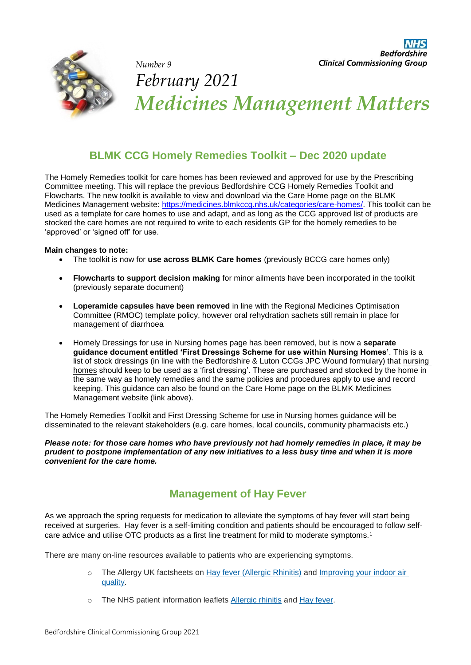

# *Number 9 February 2021 Medicines Management Matters*

## **BLMK CCG Homely Remedies Toolkit – Dec 2020 update**

The Homely Remedies toolkit for care homes has been reviewed and approved for use by the Prescribing Committee meeting. This will replace the previous Bedfordshire CCG Homely Remedies Toolkit and Flowcharts. The new toolkit is available to view and download via the Care Home page on the BLMK Medicines Management website: [https://medicines.blmkccg.nhs.uk/categories/care-homes/.](https://medicines.blmkccg.nhs.uk/categories/care-homes/) This toolkit can be used as a template for care homes to use and adapt, and as long as the CCG approved list of products are stocked the care homes are not required to write to each residents GP for the homely remedies to be 'approved' or 'signed off' for use.

#### **Main changes to note:**

- The toolkit is now for **use across BLMK Care homes** (previously BCCG care homes only)
- **Flowcharts to support decision making** for minor ailments have been incorporated in the toolkit (previously separate document)
- **Loperamide capsules have been removed** in line with the Regional Medicines Optimisation Committee (RMOC) template policy, however oral rehydration sachets still remain in place for management of diarrhoea
- Homely Dressings for use in Nursing homes page has been removed, but is now a **separate guidance document entitled 'First Dressings Scheme for use within Nursing Homes'**. This is a list of stock dressings (in line with the Bedfordshire & Luton CCGs JPC Wound formulary) that nursing homes should keep to be used as a 'first dressing'. These are purchased and stocked by the home in the same way as homely remedies and the same policies and procedures apply to use and record keeping. This guidance can also be found on the Care Home page on the BLMK Medicines Management website (link above).

The Homely Remedies Toolkit and First Dressing Scheme for use in Nursing homes guidance will be disseminated to the relevant stakeholders (e.g. care homes, local councils, community pharmacists etc.)

*Please note: for those care homes who have previously not had homely remedies in place, it may be prudent to postpone implementation of any new initiatives to a less busy time and when it is more convenient for the care home.* 

## **Management of Hay Fever**

As we approach the spring requests for medication to alleviate the symptoms of hay fever will start being received at surgeries. Hay fever is a self-limiting condition and patients should be encouraged to follow selfcare advice and utilise OTC products as a first line treatment for mild to moderate symptoms.<sup>1</sup>

There are many on-line resources available to patients who are experiencing symptoms.

- o The Allergy UK factsheets on [Hay fever \(Allergic Rhinitis\)](https://www.allergyuk.org/information-and-advice/conditions-and-symptoms/11-hay-fever-allergic-rhinitis) and Improving your indoor air [quality.](https://www.allergyuk.org/information-and-advice/conditions-and-symptoms/320-improving-your-indoor-air-quality)
- o The NHS patient information leaflets [Allergic rhinitis](https://www.nhs.uk/conditions/allergic-rhinitis/) and [Hay fever.](https://www.nhs.uk/conditions/hay-fever/)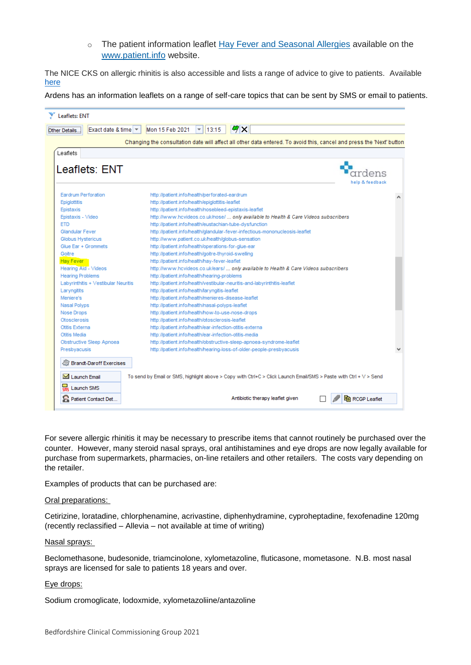o The patient information leaflet [Hay Fever and Seasonal Allergies](https://patient.info/health/hay-fever-leaflet) available on the [www.patient.info](https://patient.info/) website.

The NICE CKS on allergic rhinitis is also accessible and lists a range of advice to give to patients. Available [here](https://cks.nice.org.uk/topics/allergic-rhinitis/management/management/)

Ardens has an information leaflets on a range of self-care topics that can be sent by SMS or email to patients.

| Leaflets: ENT                                                |                                                                                                                      |  |
|--------------------------------------------------------------|----------------------------------------------------------------------------------------------------------------------|--|
| Exact date & time $\vert \mathbf{v} \vert$<br>Other Details. | 例×<br>Mon 15 Feb 2021<br>$\mathbf{r}$   13:15                                                                        |  |
|                                                              | Changing the consultation date will affect all other data entered. To avoid this, cancel and press the 'Next' button |  |
| Leaflets                                                     |                                                                                                                      |  |
| Leaflets: ENT                                                |                                                                                                                      |  |
|                                                              |                                                                                                                      |  |
|                                                              | help & feedback                                                                                                      |  |
| <b>Eardrum Perforation</b>                                   | http://patient.info/health/perforated-eardrum                                                                        |  |
| Epiglottitis                                                 | http://patient.info/health/epiglottitis-leaflet                                                                      |  |
| Epistaxis                                                    | http://patient.info/health/nosebleed-epistaxis-leaflet                                                               |  |
| Epistaxis - Video                                            | http://www.hcvideos.co.uk/nose/  only available to Health & Care Videos subscribers                                  |  |
| <b>FTD</b>                                                   | http://patient.info/health/eustachian-tube-dysfunction                                                               |  |
| Glandular Fever                                              | http://patient.info/health/glandular-fever-infectious-mononucleosis-leaflet                                          |  |
| Globus Hystericus                                            | http://www.patient.co.uk/health/globus-sensation                                                                     |  |
| Glue Ear + Grommets                                          | http://patient.info/health/operations-for-glue-ear                                                                   |  |
| Goitre                                                       | http://patient.info/health/goitre-thyroid-swelling                                                                   |  |
| Hay Fever                                                    | http://patient.info/health/hay-fever-leaflet                                                                         |  |
| Hearing Aid - Videos                                         | http://www.hcvideos.co.uk/ears/  only available to Health & Care Videos subscribers                                  |  |
| <b>Hearing Problems</b>                                      | http://patient.info/health/hearing-problems                                                                          |  |
| Labyrinthitis + Vestibular Neuritis                          | http://patient.info/health/vestibular-neuritis-and-labyrinthitis-leaflet                                             |  |
| Laryngitits                                                  | http://patient.info/health/laryngitis-leaflet                                                                        |  |
| Meniere's                                                    | http://patient.info/health/menieres-disease-leaflet                                                                  |  |
| Nasal Polyps                                                 | http://patient.info/health/nasal-polyps-leaflet                                                                      |  |
| Nose Drops                                                   | http://patient.info/health/how-to-use-nose-drops                                                                     |  |
| Otosclerosis                                                 | http://patient.info/health/otosclerosis-leaflet                                                                      |  |
| Ofitis Externa                                               | http://patient.info/health/ear-infection-otitis-externa                                                              |  |
| Otitis Media                                                 | http://patient.info/health/ear-infection-otitis-media                                                                |  |
| Obstructive Sleep Apnoea                                     | http://patient.info/health/obstructive-sleep-apnoea-syndrome-leaflet                                                 |  |
| Presbyacusis                                                 | http://patient.info/health/hearing-loss-of-older-people-presbyacusis                                                 |  |
|                                                              |                                                                                                                      |  |
| Brandt-Daroff Exercises                                      |                                                                                                                      |  |
| I aunch Fmail                                                | To send by Email or SMS, highlight above > Copy with Ctrl+C > Click Launch Email/SMS > Paste with Ctrl + V > Send    |  |
| 靐<br>Launch SMS                                              |                                                                                                                      |  |
| Patient Contact Det                                          | Antibiotic therapy leaflet given<br><b>B</b> RCGP Leaflet                                                            |  |

For severe allergic rhinitis it may be necessary to prescribe items that cannot routinely be purchased over the counter. However, many steroid nasal sprays, oral antihistamines and eye drops are now legally available for purchase from supermarkets, pharmacies, on-line retailers and other retailers. The costs vary depending on the retailer.

Examples of products that can be purchased are:

#### Oral preparations:

Cetirizine, loratadine, chlorphenamine, acrivastine, diphenhydramine, cyproheptadine, fexofenadine 120mg (recently reclassified – Allevia – not available at time of writing)

#### Nasal sprays:

Beclomethasone, budesonide, triamcinolone, xylometazoline, fluticasone, mometasone. N.B. most nasal sprays are licensed for sale to patients 18 years and over.

#### Eye drops:

Sodium cromoglicate, lodoxmide, xylometazoliine/antazoline